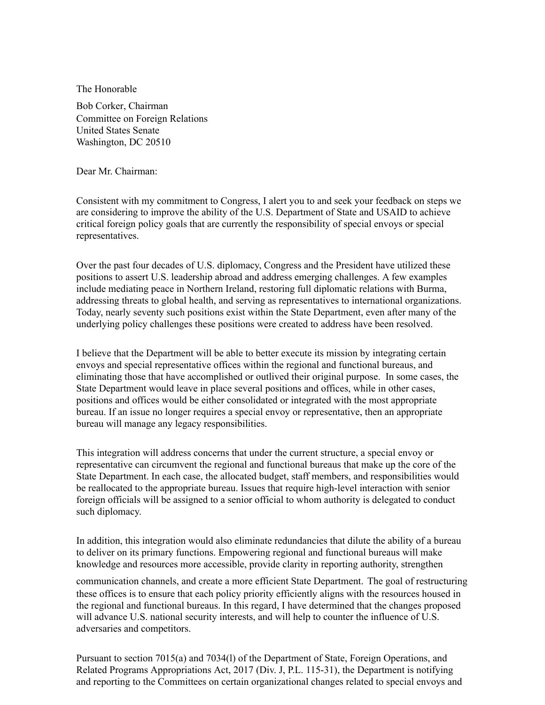The Honorable

Bob Corker, Chairman Committee on Foreign Relations United States Senate Washington, DC 20510

Dear Mr. Chairman:

Consistent with my commitment to Congress, I alert you to and seek your feedback on steps we are considering to improve the ability of the U.S. Department of State and USAID to achieve critical foreign policy goals that are currently the responsibility of special envoys or special representatives.

Over the past four decades of U.S. diplomacy, Congress and the President have utilized these positions to assert U.S. leadership abroad and address emerging challenges. A few examples include mediating peace in Northern Ireland, restoring full diplomatic relations with Burma, addressing threats to global health, and serving as representatives to international organizations. Today, nearly seventy such positions exist within the State Department, even after many of the underlying policy challenges these positions were created to address have been resolved.

I believe that the Department will be able to better execute its mission by integrating certain envoys and special representative offices within the regional and functional bureaus, and eliminating those that have accomplished or outlived their original purpose. In some cases, the State Department would leave in place several positions and offices, while in other cases, positions and offices would be either consolidated or integrated with the most appropriate bureau. If an issue no longer requires a special envoy or representative, then an appropriate bureau will manage any legacy responsibilities.

This integration will address concerns that under the current structure, a special envoy or representative can circumvent the regional and functional bureaus that make up the core of the State Department. In each case, the allocated budget, staff members, and responsibilities would be reallocated to the appropriate bureau. Issues that require high-level interaction with senior foreign officials will be assigned to a senior official to whom authority is delegated to conduct such diplomacy.

In addition, this integration would also eliminate redundancies that dilute the ability of a bureau to deliver on its primary functions. Empowering regional and functional bureaus will make knowledge and resources more accessible, provide clarity in reporting authority, strengthen

communication channels, and create a more efficient State Department. The goal of restructuring these offices is to ensure that each policy priority efficiently aligns with the resources housed in the regional and functional bureaus. In this regard, I have determined that the changes proposed will advance U.S. national security interests, and will help to counter the influence of U.S. adversaries and competitors.

Pursuant to section 7015(a) and 7034(l) of the Department of State, Foreign Operations, and Related Programs Appropriations Act, 2017 (Div. J, P.L. 115-31), the Department is notifying and reporting to the Committees on certain organizational changes related to special envoys and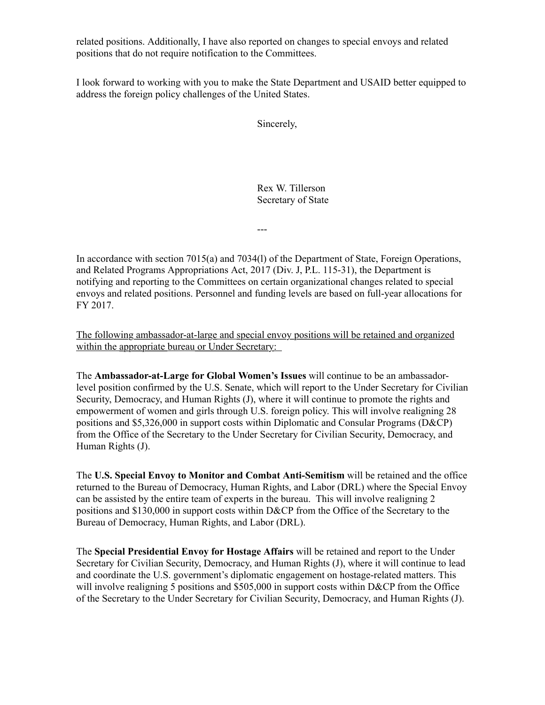related positions. Additionally, I have also reported on changes to special envoys and related positions that do not require notification to the Committees.

I look forward to working with you to make the State Department and USAID better equipped to address the foreign policy challenges of the United States.

Sincerely,

Rex W. Tillerson Secretary of State

---

In accordance with section 7015(a) and 7034(l) of the Department of State, Foreign Operations, and Related Programs Appropriations Act, 2017 (Div. J, P.L. 115-31), the Department is notifying and reporting to the Committees on certain organizational changes related to special envoys and related positions. Personnel and funding levels are based on full-year allocations for FY 2017.

The following ambassador-at-large and special envoy positions will be retained and organized within the appropriate bureau or Under Secretary:

The **Ambassador-at-Large for Global Women's Issues** will continue to be an ambassadorlevel position confirmed by the U.S. Senate, which will report to the Under Secretary for Civilian Security, Democracy, and Human Rights (J), where it will continue to promote the rights and empowerment of women and girls through U.S. foreign policy. This will involve realigning 28 positions and \$5,326,000 in support costs within Diplomatic and Consular Programs (D&CP) from the Office of the Secretary to the Under Secretary for Civilian Security, Democracy, and Human Rights (J).

The **U.S. Special Envoy to Monitor and Combat Anti-Semitism** will be retained and the office returned to the Bureau of Democracy, Human Rights, and Labor (DRL) where the Special Envoy can be assisted by the entire team of experts in the bureau. This will involve realigning 2 positions and \$130,000 in support costs within D&CP from the Office of the Secretary to the Bureau of Democracy, Human Rights, and Labor (DRL).

The **Special Presidential Envoy for Hostage Affairs** will be retained and report to the Under Secretary for Civilian Security, Democracy, and Human Rights (J), where it will continue to lead and coordinate the U.S. government's diplomatic engagement on hostage-related matters. This will involve realigning 5 positions and \$505,000 in support costs within D&CP from the Office of the Secretary to the Under Secretary for Civilian Security, Democracy, and Human Rights (J).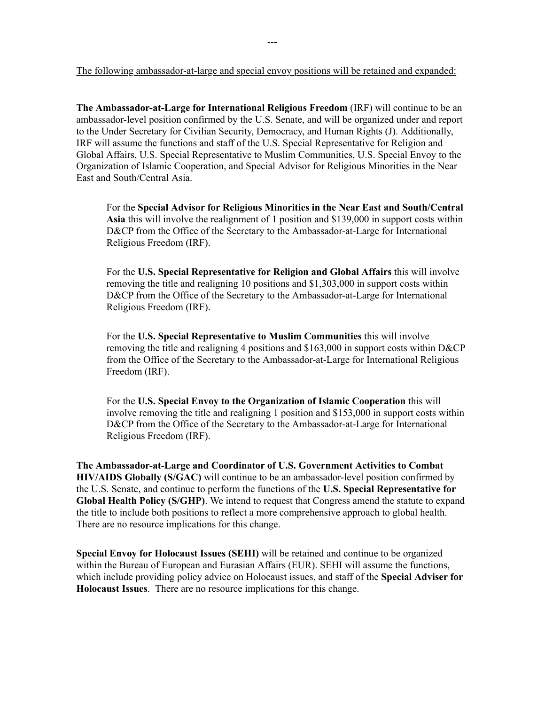The following ambassador-at-large and special envoy positions will be retained and expanded:

**The Ambassador-at-Large for International Religious Freedom** (IRF) will continue to be an ambassador-level position confirmed by the U.S. Senate, and will be organized under and report to the Under Secretary for Civilian Security, Democracy, and Human Rights (J). Additionally, IRF will assume the functions and staff of the U.S. Special Representative for Religion and Global Affairs, U.S. Special Representative to Muslim Communities, U.S. Special Envoy to the Organization of Islamic Cooperation, and Special Advisor for Religious Minorities in the Near East and South/Central Asia.

For the **Special Advisor for Religious Minorities in the Near East and South/Central Asia** this will involve the realignment of 1 position and \$139,000 in support costs within D&CP from the Office of the Secretary to the Ambassador-at-Large for International Religious Freedom (IRF).

For the **U.S. Special Representative for Religion and Global Affairs** this will involve removing the title and realigning 10 positions and \$1,303,000 in support costs within D&CP from the Office of the Secretary to the Ambassador-at-Large for International Religious Freedom (IRF).

For the **U.S. Special Representative to Muslim Communities** this will involve removing the title and realigning 4 positions and \$163,000 in support costs within D&CP from the Office of the Secretary to the Ambassador-at-Large for International Religious Freedom (IRF).

For the **U.S. Special Envoy to the Organization of Islamic Cooperation** this will involve removing the title and realigning 1 position and \$153,000 in support costs within D&CP from the Office of the Secretary to the Ambassador-at-Large for International Religious Freedom (IRF).

**The Ambassador-at-Large and Coordinator of U.S. Government Activities to Combat HIV/AIDS Globally (S/GAC)** will continue to be an ambassador-level position confirmed by the U.S. Senate, and continue to perform the functions of the **U.S. Special Representative for Global Health Policy (S/GHP)**. We intend to request that Congress amend the statute to expand the title to include both positions to reflect a more comprehensive approach to global health. There are no resource implications for this change.

**Special Envoy for Holocaust Issues (SEHI)** will be retained and continue to be organized within the Bureau of European and Eurasian Affairs (EUR). SEHI will assume the functions, which include providing policy advice on Holocaust issues, and staff of the **Special Adviser for Holocaust Issues**. There are no resource implications for this change.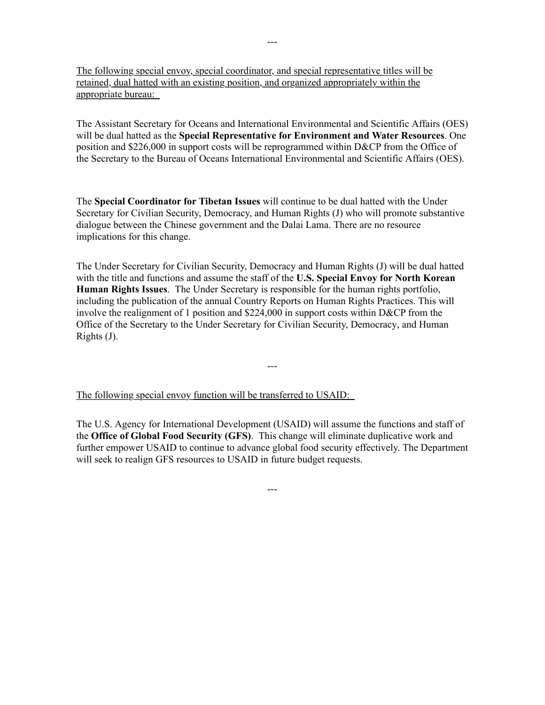The following special envoy, special coordinator, and special representative titles will be retained, dual hatted with an existing position, and organized appropriately within the appropriate bureau:

The Assistant Secretary for Oceans and International Environmental and Scientific Affairs (OES) will be dual hatted as the **Special Representative for Environment and Water Resources**. One position and \$226,000 in support costs will be reprogrammed within D&CP from the Office of the Secretary to the Bureau of Oceans International Environmental and Scientific Affairs (OES).

The **Special Coordinator for Tibetan Issues** will continue to be dual hatted with the Under Secretary for Civilian Security, Democracy, and Human Rights (J) who will promote substantive dialogue between the Chinese government and the Dalai Lama. There are no resource implications for this change.

The Under Secretary for Civilian Security, Democracy and Human Rights (J) will be dual hatted with the title and functions and assume the staff of the **U.S. Special Envoy for North Korean Human Rights Issues**. The Under Secretary is responsible for the human rights portfolio, including the publication of the annual Country Reports on Human Rights Practices. This will involve the realignment of 1 position and \$224,000 in support costs within D&CP from the Office of the Secretary to the Under Secretary for Civilian Security, Democracy, and Human Rights (J).

---

The following special envoy function will be transferred to USAID:

The U.S. Agency for International Development (USAID) will assume the functions and staff of the **Office of Global Food Security (GFS)**. This change will eliminate duplicative work and further empower USAID to continue to advance global food security effectively. The Department will seek to realign GFS resources to USAID in future budget requests.

---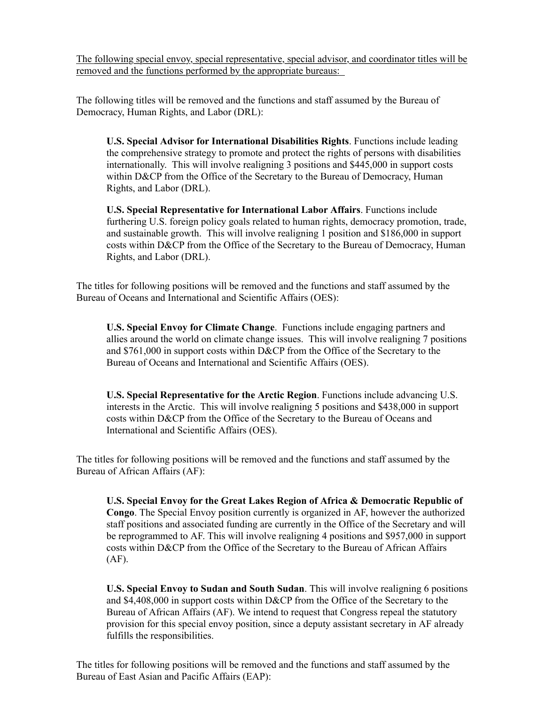The following special envoy, special representative, special advisor, and coordinator titles will be removed and the functions performed by the appropriate bureaus:

The following titles will be removed and the functions and staff assumed by the Bureau of Democracy, Human Rights, and Labor (DRL):

**U.S. Special Advisor for International Disabilities Rights**. Functions include leading the comprehensive strategy to promote and protect the rights of persons with disabilities internationally. This will involve realigning 3 positions and \$445,000 in support costs within D&CP from the Office of the Secretary to the Bureau of Democracy, Human Rights, and Labor (DRL).

**U.S. Special Representative for International Labor Affairs**. Functions include furthering U.S. foreign policy goals related to human rights, democracy promotion, trade, and sustainable growth. This will involve realigning 1 position and \$186,000 in support costs within D&CP from the Office of the Secretary to the Bureau of Democracy, Human Rights, and Labor (DRL).

The titles for following positions will be removed and the functions and staff assumed by the Bureau of Oceans and International and Scientific Affairs (OES):

**U.S. Special Envoy for Climate Change**. Functions include engaging partners and allies around the world on climate change issues. This will involve realigning 7 positions and \$761,000 in support costs within D&CP from the Office of the Secretary to the Bureau of Oceans and International and Scientific Affairs (OES).

**U.S. Special Representative for the Arctic Region**. Functions include advancing U.S. interests in the Arctic. This will involve realigning 5 positions and \$438,000 in support costs within D&CP from the Office of the Secretary to the Bureau of Oceans and International and Scientific Affairs (OES).

The titles for following positions will be removed and the functions and staff assumed by the Bureau of African Affairs (AF):

**U.S. Special Envoy for the Great Lakes Region of Africa & Democratic Republic of Congo**. The Special Envoy position currently is organized in AF, however the authorized staff positions and associated funding are currently in the Office of the Secretary and will be reprogrammed to AF. This will involve realigning 4 positions and \$957,000 in support costs within D&CP from the Office of the Secretary to the Bureau of African Affairs (AF).

**U.S. Special Envoy to Sudan and South Sudan**. This will involve realigning 6 positions and \$4,408,000 in support costs within D&CP from the Office of the Secretary to the Bureau of African Affairs (AF). We intend to request that Congress repeal the statutory provision for this special envoy position, since a deputy assistant secretary in AF already fulfills the responsibilities.

The titles for following positions will be removed and the functions and staff assumed by the Bureau of East Asian and Pacific Affairs (EAP):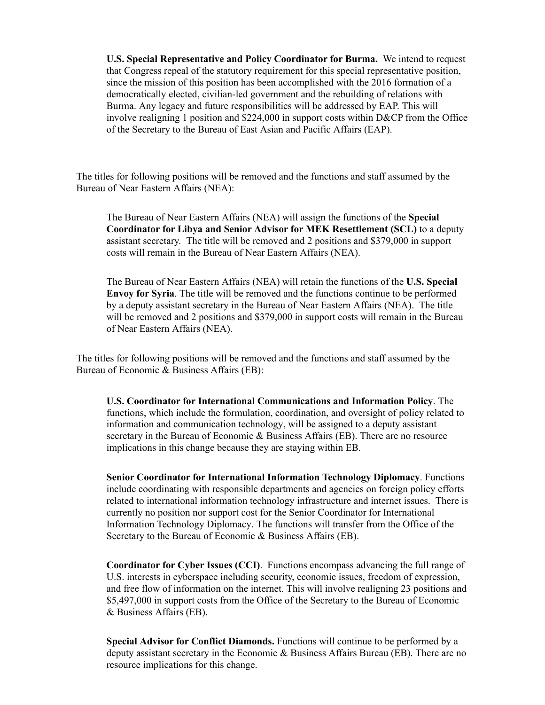**U.S. Special Representative and Policy Coordinator for Burma.** We intend to request that Congress repeal of the statutory requirement for this special representative position, since the mission of this position has been accomplished with the 2016 formation of a democratically elected, civilian-led government and the rebuilding of relations with Burma. Any legacy and future responsibilities will be addressed by EAP. This will involve realigning 1 position and \$224,000 in support costs within D&CP from the Office of the Secretary to the Bureau of East Asian and Pacific Affairs (EAP).

The titles for following positions will be removed and the functions and staff assumed by the Bureau of Near Eastern Affairs (NEA):

The Bureau of Near Eastern Affairs (NEA) will assign the functions of the **Special Coordinator for Libya and Senior Advisor for MEK Resettlement (SCL)** to a deputy assistant secretary. The title will be removed and 2 positions and \$379,000 in support costs will remain in the Bureau of Near Eastern Affairs (NEA).

The Bureau of Near Eastern Affairs (NEA) will retain the functions of the **U.S. Special Envoy for Syria**. The title will be removed and the functions continue to be performed by a deputy assistant secretary in the Bureau of Near Eastern Affairs (NEA). The title will be removed and 2 positions and \$379,000 in support costs will remain in the Bureau of Near Eastern Affairs (NEA).

The titles for following positions will be removed and the functions and staff assumed by the Bureau of Economic & Business Affairs (EB):

**U.S. Coordinator for International Communications and Information Policy**. The functions, which include the formulation, coordination, and oversight of policy related to information and communication technology, will be assigned to a deputy assistant secretary in the Bureau of Economic & Business Affairs (EB). There are no resource implications in this change because they are staying within EB.

**Senior Coordinator for International Information Technology Diplomacy**. Functions include coordinating with responsible departments and agencies on foreign policy efforts related to international information technology infrastructure and internet issues. There is currently no position nor support cost for the Senior Coordinator for International Information Technology Diplomacy. The functions will transfer from the Office of the Secretary to the Bureau of Economic & Business Affairs (EB).

**Coordinator for Cyber Issues (CCI)**. Functions encompass advancing the full range of U.S. interests in cyberspace including security, economic issues, freedom of expression, and free flow of information on the internet. This will involve realigning 23 positions and \$5,497,000 in support costs from the Office of the Secretary to the Bureau of Economic & Business Affairs (EB).

**Special Advisor for Conflict Diamonds.** Functions will continue to be performed by a deputy assistant secretary in the Economic & Business Affairs Bureau (EB). There are no resource implications for this change.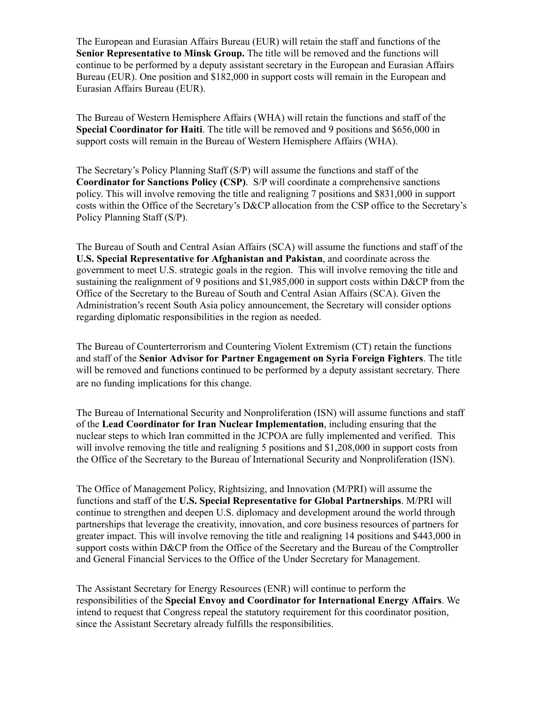The European and Eurasian Affairs Bureau (EUR) will retain the staff and functions of the **Senior Representative to Minsk Group.** The title will be removed and the functions will continue to be performed by a deputy assistant secretary in the European and Eurasian Affairs Bureau (EUR). One position and \$182,000 in support costs will remain in the European and Eurasian Affairs Bureau (EUR).

The Bureau of Western Hemisphere Affairs (WHA) will retain the functions and staff of the **Special Coordinator for Haiti**. The title will be removed and 9 positions and \$656,000 in support costs will remain in the Bureau of Western Hemisphere Affairs (WHA).

The Secretary's Policy Planning Staff (S/P) will assume the functions and staff of the **Coordinator for Sanctions Policy (CSP)**. S/P will coordinate a comprehensive sanctions policy. This will involve removing the title and realigning 7 positions and \$831,000 in support costs within the Office of the Secretary's D&CP allocation from the CSP office to the Secretary's Policy Planning Staff (S/P).

The Bureau of South and Central Asian Affairs (SCA) will assume the functions and staff of the **U.S. Special Representative for Afghanistan and Pakistan**, and coordinate across the government to meet U.S. strategic goals in the region. This will involve removing the title and sustaining the realignment of 9 positions and \$1,985,000 in support costs within D&CP from the Office of the Secretary to the Bureau of South and Central Asian Affairs (SCA). Given the Administration's recent South Asia policy announcement, the Secretary will consider options regarding diplomatic responsibilities in the region as needed.

The Bureau of Counterterrorism and Countering Violent Extremism (CT) retain the functions and staff of the **Senior Advisor for Partner Engagement on Syria Foreign Fighters**. The title will be removed and functions continued to be performed by a deputy assistant secretary. There are no funding implications for this change.

The Bureau of International Security and Nonproliferation (ISN) will assume functions and staff of the **Lead Coordinator for Iran Nuclear Implementation**, including ensuring that the nuclear steps to which Iran committed in the JCPOA are fully implemented and verified. This will involve removing the title and realigning 5 positions and \$1,208,000 in support costs from the Office of the Secretary to the Bureau of International Security and Nonproliferation (ISN).

The Office of Management Policy, Rightsizing, and Innovation (M/PRI) will assume the functions and staff of the **U.S. Special Representative for Global Partnerships**. M/PRI will continue to strengthen and deepen U.S. diplomacy and development around the world through partnerships that leverage the creativity, innovation, and core business resources of partners for greater impact. This will involve removing the title and realigning 14 positions and \$443,000 in support costs within D&CP from the Office of the Secretary and the Bureau of the Comptroller and General Financial Services to the Office of the Under Secretary for Management.

The Assistant Secretary for Energy Resources (ENR) will continue to perform the responsibilities of the **Special Envoy and Coordinator for International Energy Affairs**. We intend to request that Congress repeal the statutory requirement for this coordinator position, since the Assistant Secretary already fulfills the responsibilities.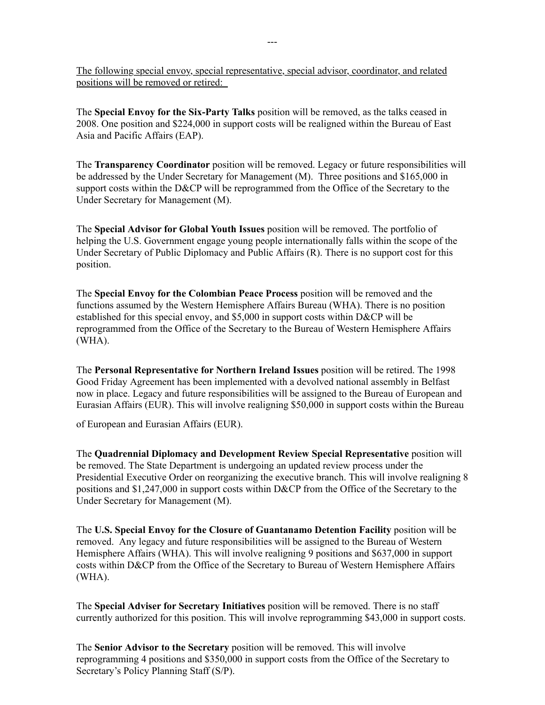The following special envoy, special representative, special advisor, coordinator, and related positions will be removed or retired:

The **Special Envoy for the Six-Party Talks** position will be removed, as the talks ceased in 2008. One position and \$224,000 in support costs will be realigned within the Bureau of East Asia and Pacific Affairs (EAP).

The **Transparency Coordinator** position will be removed. Legacy or future responsibilities will be addressed by the Under Secretary for Management (M). Three positions and \$165,000 in support costs within the D&CP will be reprogrammed from the Office of the Secretary to the Under Secretary for Management (M).

The **Special Advisor for Global Youth Issues** position will be removed. The portfolio of helping the U.S. Government engage young people internationally falls within the scope of the Under Secretary of Public Diplomacy and Public Affairs (R). There is no support cost for this position.

The **Special Envoy for the Colombian Peace Process** position will be removed and the functions assumed by the Western Hemisphere Affairs Bureau (WHA). There is no position established for this special envoy, and \$5,000 in support costs within D&CP will be reprogrammed from the Office of the Secretary to the Bureau of Western Hemisphere Affairs (WHA).

The **Personal Representative for Northern Ireland Issues** position will be retired. The 1998 Good Friday Agreement has been implemented with a devolved national assembly in Belfast now in place. Legacy and future responsibilities will be assigned to the Bureau of European and Eurasian Affairs (EUR). This will involve realigning \$50,000 in support costs within the Bureau

of European and Eurasian Affairs (EUR).

The **Quadrennial Diplomacy and Development Review Special Representative** position will be removed. The State Department is undergoing an updated review process under the Presidential Executive Order on reorganizing the executive branch. This will involve realigning 8 positions and \$1,247,000 in support costs within D&CP from the Office of the Secretary to the Under Secretary for Management (M).

The **U.S. Special Envoy for the Closure of Guantanamo Detention Facility** position will be removed. Any legacy and future responsibilities will be assigned to the Bureau of Western Hemisphere Affairs (WHA). This will involve realigning 9 positions and \$637,000 in support costs within D&CP from the Office of the Secretary to Bureau of Western Hemisphere Affairs (WHA).

The **Special Adviser for Secretary Initiatives** position will be removed. There is no staff currently authorized for this position. This will involve reprogramming \$43,000 in support costs.

The **Senior Advisor to the Secretary** position will be removed. This will involve reprogramming 4 positions and \$350,000 in support costs from the Office of the Secretary to Secretary's Policy Planning Staff (S/P).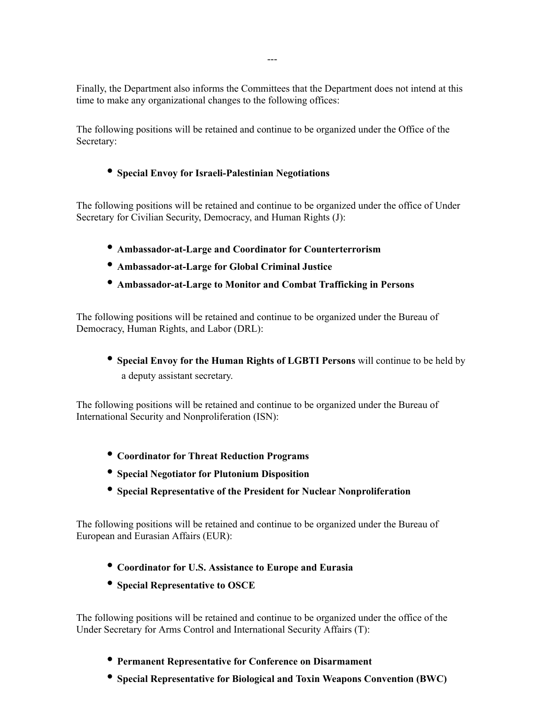Finally, the Department also informs the Committees that the Department does not intend at this time to make any organizational changes to the following offices:

The following positions will be retained and continue to be organized under the Office of the Secretary:

## • **Special Envoy for Israeli-Palestinian Negotiations**

The following positions will be retained and continue to be organized under the office of Under Secretary for Civilian Security, Democracy, and Human Rights (J):

- **Ambassador-at-Large and Coordinator for Counterterrorism**
- **Ambassador-at-Large for Global Criminal Justice**
- **Ambassador-at-Large to Monitor and Combat Trafficking in Persons**

The following positions will be retained and continue to be organized under the Bureau of Democracy, Human Rights, and Labor (DRL):

• **Special Envoy for the Human Rights of LGBTI Persons** will continue to be held by a deputy assistant secretary.

The following positions will be retained and continue to be organized under the Bureau of International Security and Nonproliferation (ISN):

- **Coordinator for Threat Reduction Programs**
- **Special Negotiator for Plutonium Disposition**
- **Special Representative of the President for Nuclear Nonproliferation**

The following positions will be retained and continue to be organized under the Bureau of European and Eurasian Affairs (EUR):

- **Coordinator for U.S. Assistance to Europe and Eurasia**
- **Special Representative to OSCE**

The following positions will be retained and continue to be organized under the office of the Under Secretary for Arms Control and International Security Affairs (T):

- **Permanent Representative for Conference on Disarmament**
- **Special Representative for Biological and Toxin Weapons Convention (BWC)**